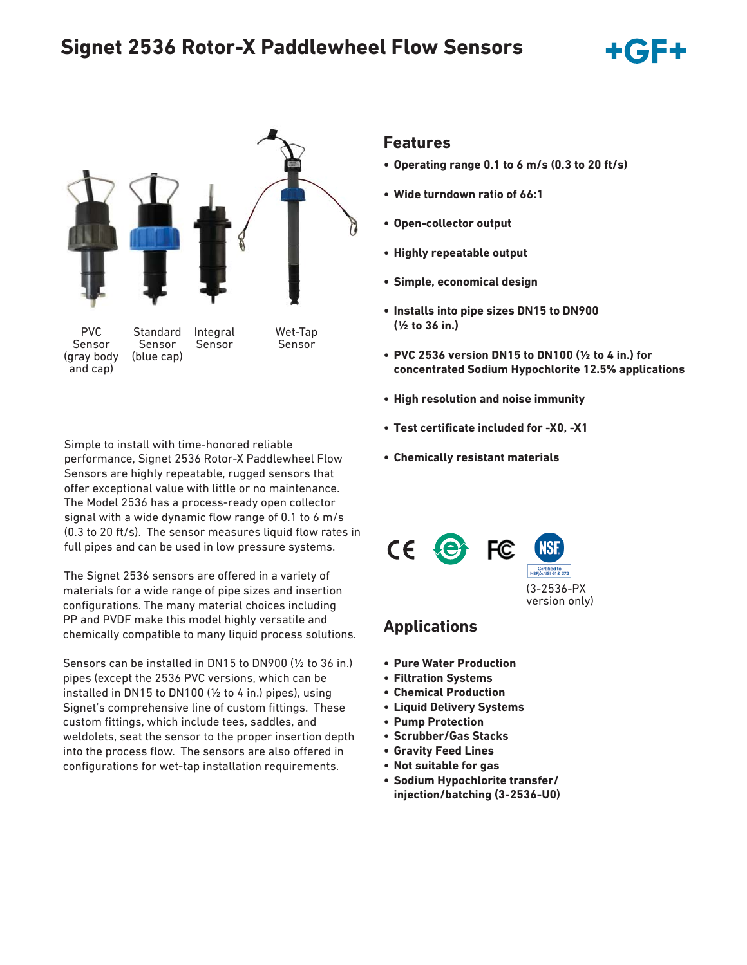# **Signet 2536 Rotor-X Paddlewheel Flow Sensors**



Simple to install with time-honored reliable performance, Signet 2536 Rotor-X Paddlewheel Flow Sensors are highly repeatable, rugged sensors that offer exceptional value with little or no maintenance. The Model 2536 has a process-ready open collector signal with a wide dynamic flow range of 0.1 to 6  $m/s$  $(0.3$  to 20 ft/s). The sensor measures liquid flow rates in full pipes and can be used in low pressure systems.

The Signet 2536 sensors are offered in a variety of materials for a wide range of pipe sizes and insertion configurations. The many material choices including PP and PVDF make this model highly versatile and chemically compatible to many liquid process solutions.

Sensors can be installed in DN15 to DN900 (½ to 36 in.) pipes (except the 2536 PVC versions, which can be installed in DN15 to DN100 (½ to 4 in.) pipes), using Signet's comprehensive line of custom fittings. These custom fittings, which include tees, saddles, and weldolets, seat the sensor to the proper insertion depth into the process flow. The sensors are also offered in configurations for wet-tap installation requirements.

### **Features**

- **Operating range 0.1 to 6 m/s (0.3 to 20 ft/s)**
- **Wide turndown ratio of 66:1**
- **Open-collector output**
- **Highly repeatable output**
- **Simple, economical design**
- **Installs into pipe sizes DN15 to DN900 (½ to 36 in.)**
- **PVC 2536 version DN15 to DN100 (½ to 4 in.) for concentrated Sodium Hypochlorite 12.5% applications**
- **High resolution and noise immunity**
- **Test certificate included for -X0, -X1**
- **Chemically resistant materials**





(3-2536-PX version only)

### **Applications**

- **Pure Water Production**
- **Filtration Systems**
- **Chemical Production**
- **Liquid Delivery Systems**
- **Pump Protection**
- **Scrubber/Gas Stacks**
- **Gravity Feed Lines**
- **Not suitable for gas**
- **Sodium Hypochlorite transfer/ injection/batching (3-2536-U0)**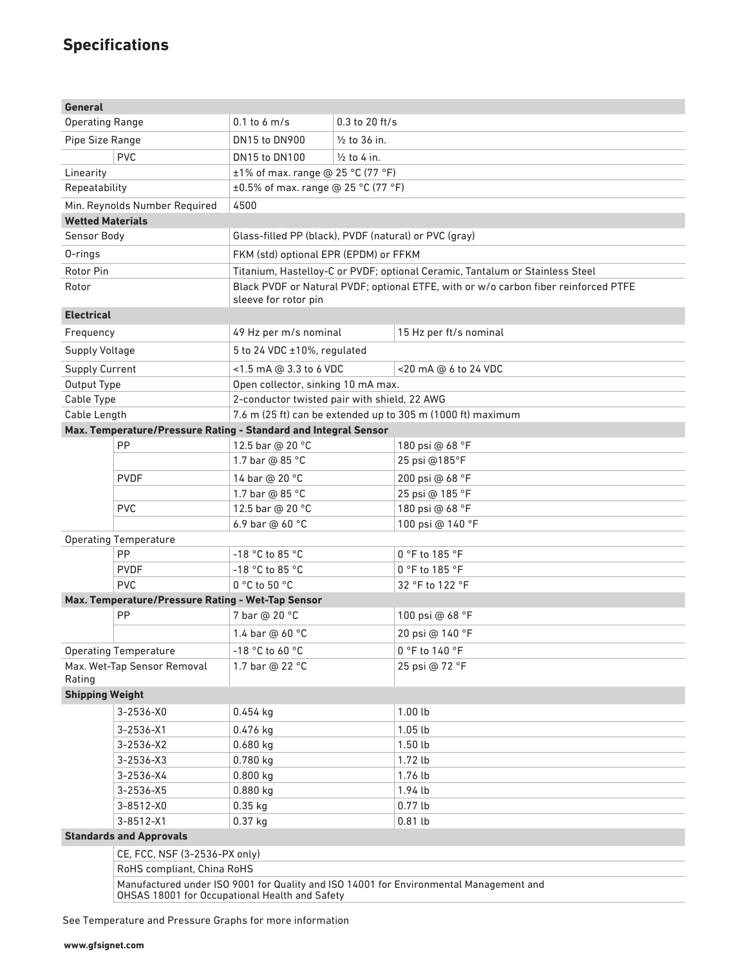# **Specifications**

| <b>General</b>                                          |                                                                                        |                                                                                                             |                                           |                                                             |  |  |  |
|---------------------------------------------------------|----------------------------------------------------------------------------------------|-------------------------------------------------------------------------------------------------------------|-------------------------------------------|-------------------------------------------------------------|--|--|--|
| <b>Operating Range</b>                                  |                                                                                        | $0.1$ to 6 m/s                                                                                              | $0.3$ to 20 ft/s                          |                                                             |  |  |  |
| Pipe Size Range                                         |                                                                                        | <b>DN15 to DN900</b>                                                                                        | $\frac{1}{2}$ to 36 in.                   |                                                             |  |  |  |
| <b>PVC</b>                                              |                                                                                        | DN15 to DN100                                                                                               | $\frac{1}{2}$ to 4 in.                    |                                                             |  |  |  |
| Linearity                                               |                                                                                        |                                                                                                             | $±1\%$ of max. range @ 25 °C (77 °F)      |                                                             |  |  |  |
| Repeatability                                           |                                                                                        |                                                                                                             | $\pm 0.5\%$ of max. range @ 25 °C (77 °F) |                                                             |  |  |  |
|                                                         | Min. Reynolds Number Required                                                          | 4500                                                                                                        |                                           |                                                             |  |  |  |
| <b>Wetted Materials</b>                                 |                                                                                        |                                                                                                             |                                           |                                                             |  |  |  |
| Sensor Body                                             |                                                                                        | Glass-filled PP (black), PVDF (natural) or PVC (gray)                                                       |                                           |                                                             |  |  |  |
| 0-rings                                                 |                                                                                        | FKM (std) optional EPR (EPDM) or FFKM                                                                       |                                           |                                                             |  |  |  |
| <b>Rotor Pin</b>                                        |                                                                                        | Titanium, Hastelloy-C or PVDF; optional Ceramic, Tantalum or Stainless Steel                                |                                           |                                                             |  |  |  |
| Rotor                                                   |                                                                                        | Black PVDF or Natural PVDF; optional ETFE, with or w/o carbon fiber reinforced PTFE<br>sleeve for rotor pin |                                           |                                                             |  |  |  |
| <b>Electrical</b>                                       |                                                                                        |                                                                                                             |                                           |                                                             |  |  |  |
| Frequency                                               |                                                                                        | 49 Hz per m/s nominal                                                                                       |                                           | 15 Hz per ft/s nominal                                      |  |  |  |
| Supply Voltage                                          |                                                                                        | 5 to 24 VDC ±10%, regulated                                                                                 |                                           |                                                             |  |  |  |
| <b>Supply Current</b>                                   |                                                                                        | <1.5 mA @ 3.3 to 6 VDC                                                                                      |                                           | <20 mA @ 6 to 24 VDC                                        |  |  |  |
| Output Type                                             |                                                                                        |                                                                                                             | Open collector, sinking 10 mA max.        |                                                             |  |  |  |
| Cable Type                                              |                                                                                        | 2-conductor twisted pair with shield, 22 AWG                                                                |                                           |                                                             |  |  |  |
| Cable Length                                            |                                                                                        |                                                                                                             |                                           | 7.6 m (25 ft) can be extended up to 305 m (1000 ft) maximum |  |  |  |
|                                                         | Max. Temperature/Pressure Rating - Standard and Integral Sensor                        |                                                                                                             |                                           |                                                             |  |  |  |
|                                                         | PP                                                                                     | 12.5 bar @ 20 °C                                                                                            |                                           | 180 psi @ 68 °F                                             |  |  |  |
|                                                         |                                                                                        | 1.7 bar @ 85 °C                                                                                             |                                           | 25 psi @185°F                                               |  |  |  |
|                                                         | <b>PVDF</b>                                                                            | 14 bar @ 20 °C                                                                                              |                                           | 200 psi @ 68 °F                                             |  |  |  |
|                                                         |                                                                                        | 1.7 bar @ 85 °C                                                                                             |                                           | 25 psi @ 185 °F                                             |  |  |  |
|                                                         | <b>PVC</b>                                                                             | 12.5 bar @ 20 °C                                                                                            |                                           | 180 psi @ 68 °F                                             |  |  |  |
|                                                         |                                                                                        | 6.9 bar @ 60 °C                                                                                             |                                           | 100 psi @ 140 °F                                            |  |  |  |
|                                                         | <b>Operating Temperature</b>                                                           |                                                                                                             |                                           |                                                             |  |  |  |
|                                                         | PP                                                                                     | $-18$ °C to 85 °C                                                                                           |                                           | 0 °F to 185 °F                                              |  |  |  |
|                                                         | <b>PVDF</b>                                                                            | $-18$ °C to 85 °C                                                                                           |                                           | $0 °F$ to 185 $°F$                                          |  |  |  |
|                                                         | <b>PVC</b>                                                                             | 0 °C to 50 °C                                                                                               |                                           | 32 °F to 122 °F                                             |  |  |  |
| Max. Temperature/Pressure Rating - Wet-Tap Sensor<br>PP |                                                                                        | 7 bar @ 20 °C                                                                                               |                                           | 100 psi @ 68 °F                                             |  |  |  |
|                                                         |                                                                                        | 1.4 bar @ 60 °C                                                                                             |                                           | 20 psi @ 140 °F                                             |  |  |  |
|                                                         |                                                                                        |                                                                                                             |                                           |                                                             |  |  |  |
|                                                         | <b>Operating Temperature</b>                                                           | -18 °C to 60 °C                                                                                             |                                           | 0 °F to 140 °F                                              |  |  |  |
| Rating                                                  | Max. Wet-Tap Sensor Removal                                                            | 1.7 bar @ 22 °C                                                                                             |                                           | 25 psi @ 72 °F                                              |  |  |  |
| <b>Shipping Weight</b>                                  |                                                                                        |                                                                                                             |                                           |                                                             |  |  |  |
|                                                         | $3 - 2536 - X0$                                                                        | $0.454$ kg                                                                                                  |                                           | 1.00lb                                                      |  |  |  |
|                                                         | $3 - 2536 - X1$                                                                        | 0.476 kg                                                                                                    |                                           | 1.05lb                                                      |  |  |  |
|                                                         | $3 - 2536 - X2$                                                                        | $0.680$ kg                                                                                                  |                                           | $1.50$ lb                                                   |  |  |  |
|                                                         | 3-2536-X3                                                                              | $0.780$ kg                                                                                                  |                                           | 1.72 lb                                                     |  |  |  |
|                                                         | 3-2536-X4                                                                              | $0.800$ kg                                                                                                  |                                           | 1.76 lb                                                     |  |  |  |
|                                                         | 3-2536-X5                                                                              | $0.880$ kg                                                                                                  |                                           | 1.94 lb                                                     |  |  |  |
| 3-8512-X0<br>3-8512-X1                                  |                                                                                        | $0.35$ kg<br>$0.37$ kg                                                                                      |                                           | $0.77$ lb<br>$0.81$ lb                                      |  |  |  |
| <b>Standards and Approvals</b>                          |                                                                                        |                                                                                                             |                                           |                                                             |  |  |  |
|                                                         |                                                                                        |                                                                                                             |                                           |                                                             |  |  |  |
|                                                         | CE, FCC, NSF (3-2536-PX only)<br>RoHS compliant, China RoHS                            |                                                                                                             |                                           |                                                             |  |  |  |
|                                                         | Manufactured under ISO 9001 for Quality and ISO 14001 for Environmental Management and |                                                                                                             |                                           |                                                             |  |  |  |
|                                                         | OHSAS 18001 for Occupational Health and Safety                                         |                                                                                                             |                                           |                                                             |  |  |  |

See Temperature and Pressure Graphs for more information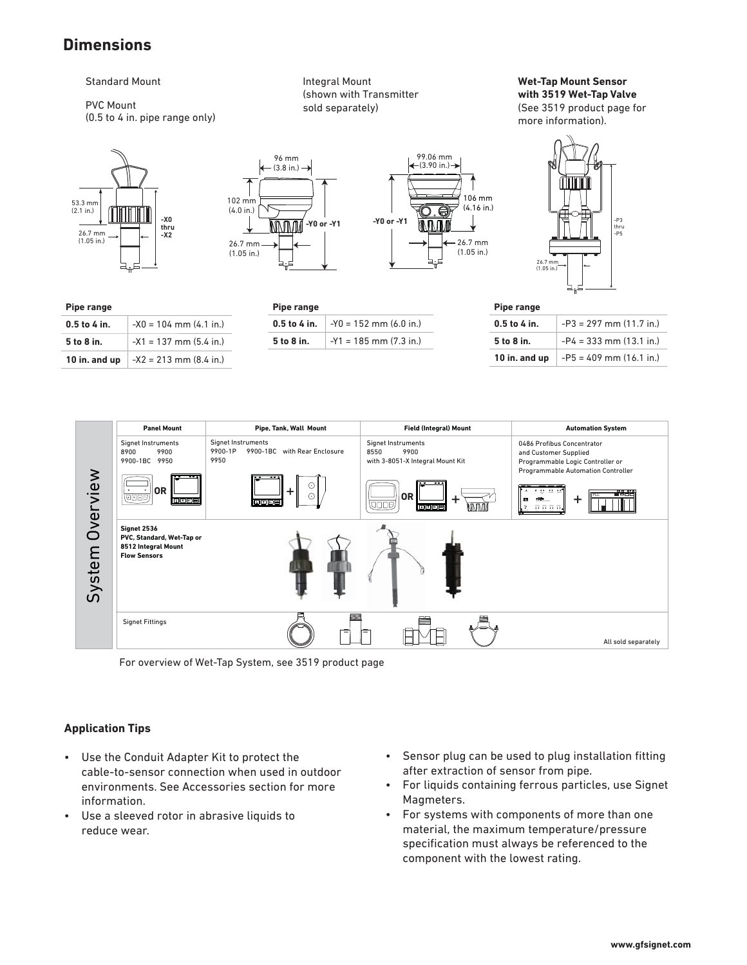## **Dimensions**

#### Standard Mount

#### PVC Mount (0.5 to 4 in. pipe range only)

53.3 mm (2.1 in.) 26.7 mm (1.05 in.) **-X0 thru -X2** 

**0.5 to 4 in.**  $-X0 = 104$  mm (4.1 in.) **5 to 8 in.**  $\vert$  -X1 = 137 mm (5.4 in.) **10 in. and up**  $-x2 = 213$  mm (8.4 in.)

**Pipe range**

Integral Mount (shown with Transmitter sold separately)

**Wet-Tap Mount Sensor with 3519 Wet-Tap Valve** (See 3519 product page for more information).



**Pipe range**

**0.5 to 4 in.**  $-Y0 = 152$  mm (6.0 in.) **5 to 8 in.**  $-Y1 = 185$  mm (7.3 in.)





| Pipe range     |                             |  |
|----------------|-----------------------------|--|
| $0.5$ to 4 in. | $-P3 = 297$ mm (11.7 in.)   |  |
| 5 to 8 in.     | $-P4 = 333$ mm $(13.1$ in.) |  |
| 10 in. and up  | $-P5 = 409$ mm (16.1 in.)   |  |



For overview of Wet-Tap System, see 3519 product page

### **Application Tips**

- Use the Conduit Adapter Kit to protect the cable-to-sensor connection when used in outdoor environments. See Accessories section for more information.
- Use a sleeved rotor in abrasive liquids to reduce wear.
- Sensor plug can be used to plug installation fitting after extraction of sensor from pipe.
- For liquids containing ferrous particles, use Signet Magmeters.
- For systems with components of more than one material, the maximum temperature/pressure specification must always be referenced to the component with the lowest rating.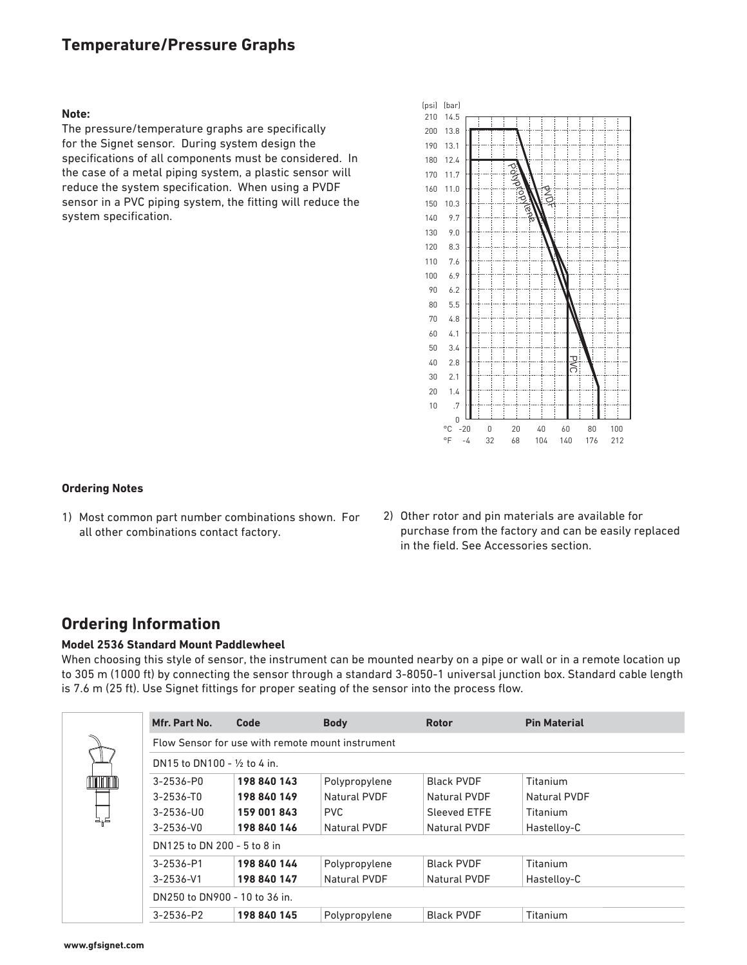## **Temperature/Pressure Graphs**

#### **Note:**

The pressure/temperature graphs are specifically for the Signet sensor. During system design the specifications of all components must be considered. In the case of a metal piping system, a plastic sensor will reduce the system specification. When using a PVDF sensor in a PVC piping system, the fitting will reduce the system specification.



#### **Ordering Notes**

- 1) Most common part number combinations shown. For all other combinations contact factory.
- 2) Other rotor and pin materials are available for purchase from the factory and can be easily replaced in the field. See Accessories section.

### **Ordering Information**

#### **Model 2536 Standard Mount Paddlewheel**

When choosing this style of sensor, the instrument can be mounted nearby on a pipe or wall or in a remote location up to 305 m (1000 ft) by connecting the sensor through a standard 3-8050-1 universal junction box. Standard cable length is 7.6 m (25 ft). Use Signet fittings for proper seating of the sensor into the process flow.

|                                        | Mfr. Part No.                                    | Code        | <b>Body</b>   | <b>Rotor</b>      | <b>Pin Material</b> |  |  |
|----------------------------------------|--------------------------------------------------|-------------|---------------|-------------------|---------------------|--|--|
|                                        | Flow Sensor for use with remote mount instrument |             |               |                   |                     |  |  |
| DN15 to DN100 - $\frac{1}{2}$ to 4 in. |                                                  |             |               |                   |                     |  |  |
|                                        | 3-2536-P0                                        | 198 840 143 | Polypropylene | <b>Black PVDF</b> | Titanium            |  |  |
|                                        | $3 - 2536 - T0$                                  | 198 840 149 | Natural PVDF  | Natural PVDF      | Natural PVDF        |  |  |
|                                        | $3 - 2536 - U0$                                  | 159 001 843 | <b>PVC</b>    | Sleeved FTFF      | Titanium            |  |  |
|                                        | $3 - 2536 - V0$                                  | 198 840 146 | Natural PVDF  | Natural PVDF      | Hastelloy-C         |  |  |
| DN125 to DN 200 - 5 to 8 in            |                                                  |             |               |                   |                     |  |  |
|                                        | 3-2536-P1                                        | 198 840 144 | Polypropylene | <b>Black PVDF</b> | Titanium            |  |  |
|                                        | $3 - 2536 - V1$                                  | 198 840 147 | Natural PVDF  | Natural PVDF      | Hastelloy-C         |  |  |
|                                        | DN250 to DN900 - 10 to 36 in.                    |             |               |                   |                     |  |  |
|                                        | $3 - 2536 - P2$                                  | 198 840 145 | Polypropylene | <b>Black PVDF</b> | Titanium            |  |  |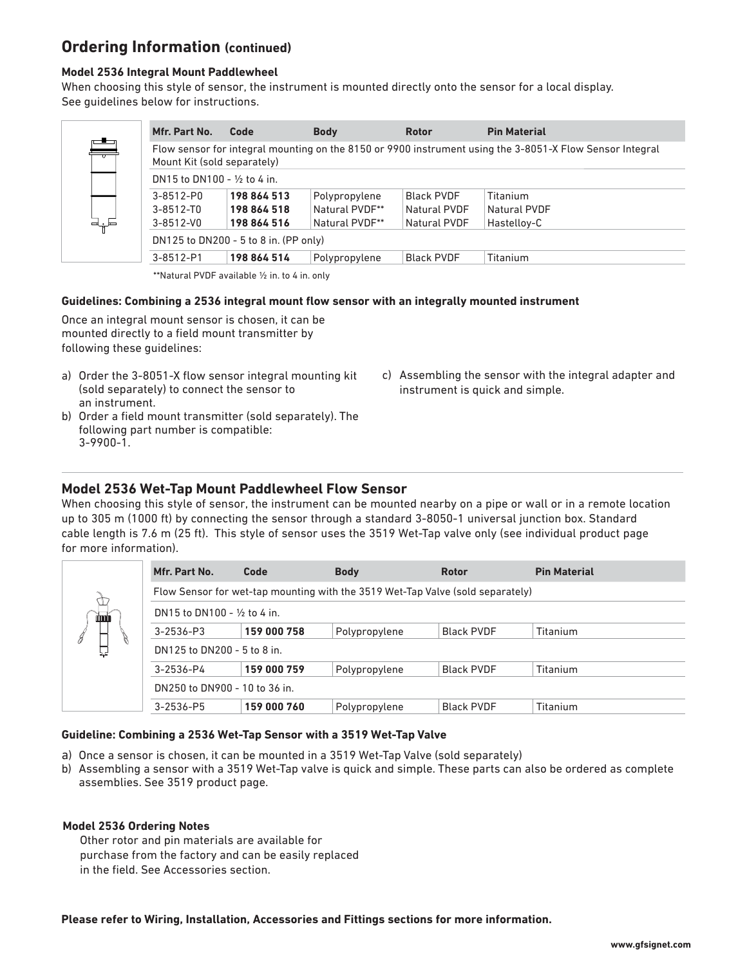## **Ordering Information (continued)**

#### **Model 2536 Integral Mount Paddlewheel**

When choosing this style of sensor, the instrument is mounted directly onto the sensor for a local display. See guidelines below for instructions.

| Mfr. Part No.                          | Code                        | <b>Body</b>    | <b>Rotor</b>      | <b>Pin Material</b>                                                                                      |  |  |
|----------------------------------------|-----------------------------|----------------|-------------------|----------------------------------------------------------------------------------------------------------|--|--|
|                                        | Mount Kit (sold separately) |                |                   | Flow sensor for integral mounting on the 8150 or 9900 instrument using the 3-8051-X Flow Sensor Integral |  |  |
| DN15 to DN100 - $\frac{1}{2}$ to 4 in. |                             |                |                   |                                                                                                          |  |  |
| 3-8512-P0                              | 198 864 513                 | Polypropylene  | <b>Black PVDF</b> | Titanium                                                                                                 |  |  |
| $3 - 8512 - T0$                        | 198 864 518                 | Natural PVDF** | Natural PVDF      | Natural PVDF                                                                                             |  |  |
| $3 - 8512 - V0$                        | 198 864 516                 | Natural PVDF** | Natural PVDF      | Hastelloy-C                                                                                              |  |  |
| DN125 to DN200 - 5 to 8 in. (PP only)  |                             |                |                   |                                                                                                          |  |  |
| 3-8512-P1                              | 198 864 514                 | Polypropylene  | <b>Black PVDF</b> | Titanium                                                                                                 |  |  |

\*\*Natural PVDF available ½ in. to 4 in. only

#### Guidelines: Combining a 2536 integral mount flow sensor with an integrally mounted instrument

Once an integral mount sensor is chosen, it can be mounted directly to a field mount transmitter by following these guidelines:

- a) Order the 3-8051-X flow sensor integral mounting kit (sold separately) to connect the sensor to an instrument.
- b) Order a field mount transmitter (sold separately). The following part number is compatible: 3-9900-1.
- c) Assembling the sensor with the integral adapter and instrument is quick and simple.

### **Model 2536 Wet-Tap Mount Paddlewheel Flow Sensor**

When choosing this style of sensor, the instrument can be mounted nearby on a pipe or wall or in a remote location up to 305 m (1000 ft) by connecting the sensor through a standard 3-8050-1 universal junction box. Standard cable length is 7.6 m (25 ft). This style of sensor uses the 3519 Wet-Tap valve only (see individual product page for more information).

| <b>don'n</b> | Mfr. Part No.                                                                  | Code        | <b>Body</b>   | <b>Rotor</b>      | <b>Pin Material</b> |  |  |
|--------------|--------------------------------------------------------------------------------|-------------|---------------|-------------------|---------------------|--|--|
|              | Flow Sensor for wet-tap mounting with the 3519 Wet-Tap Valve (sold separately) |             |               |                   |                     |  |  |
|              | DN15 to DN100 - $\frac{1}{2}$ to 4 in.                                         |             |               |                   |                     |  |  |
| 8            | $3 - 2536 - P3$                                                                | 159 000 758 | Polypropylene | Black PVDF        | Titanium            |  |  |
|              | DN125 to DN200 - 5 to 8 in.                                                    |             |               |                   |                     |  |  |
|              | 3-2536-P4                                                                      | 159 000 759 | Polypropylene | Black PVDF        | Titanium            |  |  |
|              | DN250 to DN900 - 10 to 36 in.                                                  |             |               |                   |                     |  |  |
|              | 3-2536-P5                                                                      | 159 000 760 | Polypropylene | <b>Black PVDF</b> | Titanium            |  |  |

#### **Guideline: Combining a 2536 Wet-Tap Sensor with a 3519 Wet-Tap Valve**

- a) Once a sensor is chosen, it can be mounted in a 3519 Wet-Tap Valve (sold separately)
- b) Assembling a sensor with a 3519 Wet-Tap valve is quick and simple. These parts can also be ordered as complete assemblies. See 3519 product page.

#### **Model 2536 Ordering Notes**

 Other rotor and pin materials are available for purchase from the factory and can be easily replaced in the field. See Accessories section.

**Please refer to Wiring, Installation, Accessories and Fittings sections for more information.**